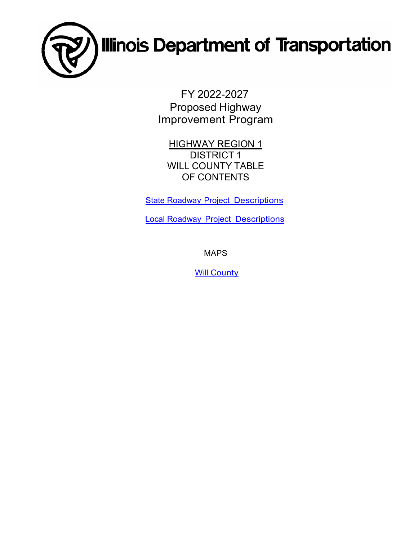

FY 2022-2027 Proposed Highway Improvement Program

**HIGHWAY REGION 1** DISTRICT 1 WILL COUNTY TABLE OF CONTENTS

**State Roadway [Project Descriptions](#page-1-0)** 

Local Roadway [Project Descriptions](#page-30-0)

MAPS

**Will [County](#page-36-0)**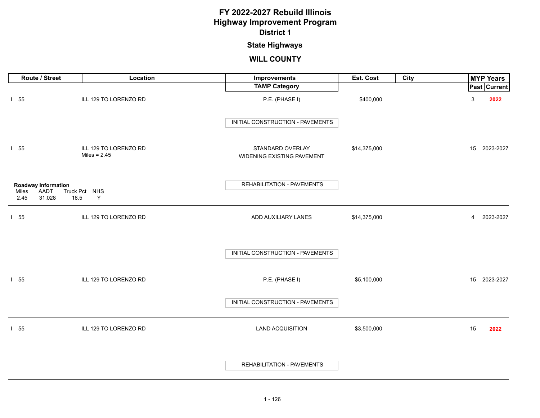# **State Highways**

<span id="page-1-0"></span>

| Route / Street                                                               | Location                                | <b>Improvements</b>                            | Est. Cost    | <b>City</b> |                           | <b>MYP Years</b> |
|------------------------------------------------------------------------------|-----------------------------------------|------------------------------------------------|--------------|-------------|---------------------------|------------------|
|                                                                              |                                         | <b>TAMP Category</b>                           |              |             |                           | Past Current     |
| $1\quad55$                                                                   | ILL 129 TO LORENZO RD                   | P.E. (PHASE I)                                 | \$400,000    |             | $\ensuremath{\mathsf{3}}$ | 2022             |
|                                                                              |                                         | INITIAL CONSTRUCTION - PAVEMENTS               |              |             |                           |                  |
| 155                                                                          | ILL 129 TO LORENZO RD<br>Miles = $2.45$ | STANDARD OVERLAY<br>WIDENING EXISTING PAVEMENT | \$14,375,000 |             |                           | 15 2023-2027     |
| Roadway Information<br><b>AADT</b><br><b>Miles</b><br>31,028<br>18.5<br>2.45 | Truck Pct NHS<br>Y                      | REHABILITATION - PAVEMENTS                     |              |             |                           |                  |
| 155                                                                          | ILL 129 TO LORENZO RD                   | ADD AUXILIARY LANES                            | \$14,375,000 |             | $\overline{4}$            | 2023-2027        |
|                                                                              |                                         | INITIAL CONSTRUCTION - PAVEMENTS               |              |             |                           |                  |
| $1\quad55$                                                                   | ILL 129 TO LORENZO RD                   | P.E. (PHASE I)                                 | \$5,100,000  |             |                           | 15 2023-2027     |
|                                                                              |                                         | INITIAL CONSTRUCTION - PAVEMENTS               |              |             |                           |                  |
| 155                                                                          | ILL 129 TO LORENZO RD                   | <b>LAND ACQUISITION</b>                        | \$3,500,000  |             | 15                        | 2022             |
|                                                                              |                                         | REHABILITATION - PAVEMENTS                     |              |             |                           |                  |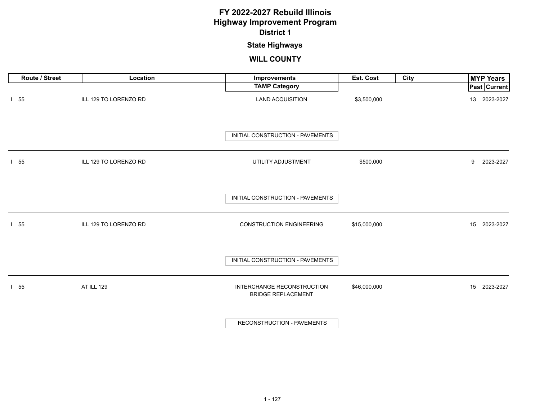### **State Highways**

| Route / Street | Location              | Improvements                                            | Est. Cost    | City | <b>MYP Years</b> |
|----------------|-----------------------|---------------------------------------------------------|--------------|------|------------------|
|                |                       | <b>TAMP Category</b>                                    |              |      | Past Current     |
| 155            | ILL 129 TO LORENZO RD | <b>LAND ACQUISITION</b>                                 | \$3,500,000  |      | 13 2023-2027     |
|                |                       | INITIAL CONSTRUCTION - PAVEMENTS                        |              |      |                  |
| 1 55           | ILL 129 TO LORENZO RD | UTILITY ADJUSTMENT                                      | \$500,000    |      | 9<br>2023-2027   |
|                |                       | INITIAL CONSTRUCTION - PAVEMENTS                        |              |      |                  |
| 1 55           | ILL 129 TO LORENZO RD | <b>CONSTRUCTION ENGINEERING</b>                         | \$15,000,000 |      | 15 2023-2027     |
|                |                       | INITIAL CONSTRUCTION - PAVEMENTS                        |              |      |                  |
| 1 55           | AT ILL 129            | INTERCHANGE RECONSTRUCTION<br><b>BRIDGE REPLACEMENT</b> | \$46,000,000 |      | 2023-2027<br>15  |
|                |                       | RECONSTRUCTION - PAVEMENTS                              |              |      |                  |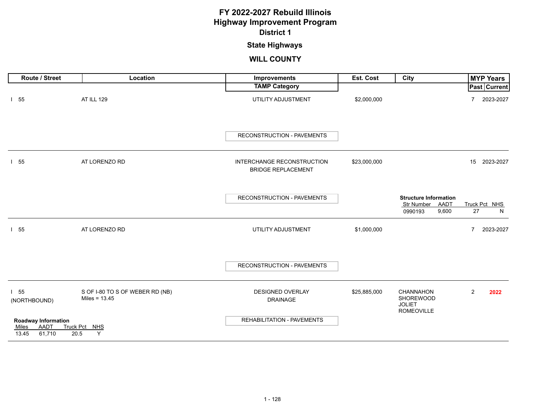# **State Highways**

| Route / Street                                                 | Location                                           | Improvements                                            | Est. Cost    | City                                                                | <b>MYP Years</b>            |
|----------------------------------------------------------------|----------------------------------------------------|---------------------------------------------------------|--------------|---------------------------------------------------------------------|-----------------------------|
|                                                                |                                                    | <b>TAMP Category</b>                                    |              |                                                                     | Past Current                |
| $1\quad55$                                                     | <b>AT ILL 129</b>                                  | UTILITY ADJUSTMENT                                      | \$2,000,000  |                                                                     | 2023-2027<br>$\overline{7}$ |
|                                                                |                                                    | <b>RECONSTRUCTION - PAVEMENTS</b>                       |              |                                                                     |                             |
| $1\quad55$                                                     | AT LORENZO RD                                      | INTERCHANGE RECONSTRUCTION<br><b>BRIDGE REPLACEMENT</b> | \$23,000,000 |                                                                     | 15 2023-2027                |
|                                                                |                                                    | RECONSTRUCTION - PAVEMENTS                              |              | <b>Structure Information</b><br>Str Number AADT<br>9,600<br>0990193 | Truck Pct NHS<br>27<br>N    |
| 155                                                            | AT LORENZO RD                                      | UTILITY ADJUSTMENT                                      | \$1,000,000  |                                                                     | $\overline{7}$<br>2023-2027 |
|                                                                |                                                    | RECONSTRUCTION - PAVEMENTS                              |              |                                                                     |                             |
| 155<br>(NORTHBOUND)                                            | S OF I-80 TO S OF WEBER RD (NB)<br>Miles = $13.45$ | <b>DESIGNED OVERLAY</b><br><b>DRAINAGE</b>              | \$25,885,000 | CHANNAHON<br>SHOREWOOD<br><b>JOLIET</b><br><b>ROMEOVILLE</b>        | $\overline{2}$<br>2022      |
| <b>Roadway Information</b><br>AADT<br>Miles<br>61,710<br>13.45 | Truck Pct NHS<br>Y<br>20.5                         | <b>REHABILITATION - PAVEMENTS</b>                       |              |                                                                     |                             |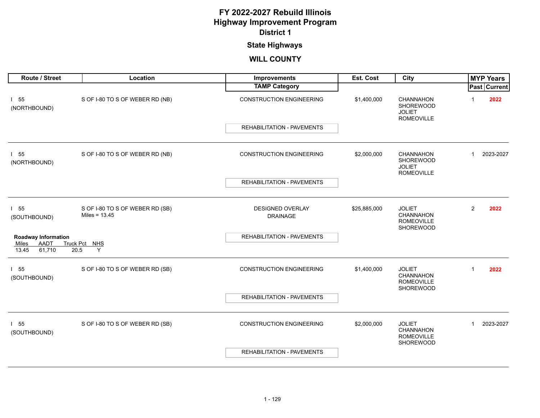# **State Highways**

| Route / Street                           | Location                                           | <b>Improvements</b>                        | <b>Est. Cost</b> | City                                                                |                | <b>MYP Years</b> |
|------------------------------------------|----------------------------------------------------|--------------------------------------------|------------------|---------------------------------------------------------------------|----------------|------------------|
|                                          |                                                    | <b>TAMP Category</b>                       |                  |                                                                     |                | Past Current     |
| 155<br>(NORTHBOUND)                      | S OF I-80 TO S OF WEBER RD (NB)                    | <b>CONSTRUCTION ENGINEERING</b>            | \$1,400,000      | <b>CHANNAHON</b><br>SHOREWOOD<br><b>JOLIET</b><br><b>ROMEOVILLE</b> |                | 2022             |
|                                          |                                                    | <b>REHABILITATION - PAVEMENTS</b>          |                  |                                                                     |                |                  |
| 155<br>(NORTHBOUND)                      | S OF I-80 TO S OF WEBER RD (NB)                    | <b>CONSTRUCTION ENGINEERING</b>            | \$2,000,000      | CHANNAHON<br>SHOREWOOD                                              | $\mathbf{1}$   | 2023-2027        |
|                                          |                                                    | <b>REHABILITATION - PAVEMENTS</b>          |                  | <b>JOLIET</b><br><b>ROMEOVILLE</b>                                  |                |                  |
|                                          |                                                    |                                            |                  |                                                                     |                |                  |
| 155<br>(SOUTHBOUND)                      | S OF I-80 TO S OF WEBER RD (SB)<br>Miles = $13.45$ | <b>DESIGNED OVERLAY</b><br><b>DRAINAGE</b> | \$25,885,000     | <b>JOLIET</b><br><b>CHANNAHON</b><br><b>ROMEOVILLE</b><br>SHOREWOOD | $\overline{2}$ | 2022             |
| <b>Roadway Information</b>               |                                                    | <b>REHABILITATION - PAVEMENTS</b>          |                  |                                                                     |                |                  |
| AADT<br>Miles<br>13.45<br>61,710<br>20.5 | Truck Pct NHS<br>Y                                 |                                            |                  |                                                                     |                |                  |
| 155<br>(SOUTHBOUND)                      | S OF I-80 TO S OF WEBER RD (SB)                    | <b>CONSTRUCTION ENGINEERING</b>            | \$1,400,000      | <b>JOLIET</b><br><b>CHANNAHON</b><br>ROMEOVILLE<br>SHOREWOOD        | $\overline{1}$ | 2022             |
|                                          |                                                    | <b>REHABILITATION - PAVEMENTS</b>          |                  |                                                                     |                |                  |
| $1\quad55$<br>(SOUTHBOUND)               | S OF I-80 TO S OF WEBER RD (SB)                    | <b>CONSTRUCTION ENGINEERING</b>            | \$2,000,000      | <b>JOLIET</b><br>CHANNAHON<br><b>ROMEOVILLE</b>                     | $\mathbf{1}$   | 2023-2027        |
|                                          |                                                    | <b>REHABILITATION - PAVEMENTS</b>          |                  | SHOREWOOD                                                           |                |                  |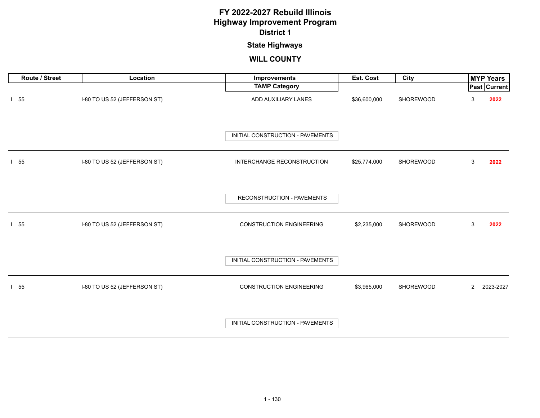### **State Highways**

| Route / Street | Location                     | Improvements                     | Est. Cost    | City      |                | <b>MYP Years</b> |
|----------------|------------------------------|----------------------------------|--------------|-----------|----------------|------------------|
|                |                              | <b>TAMP Category</b>             |              |           |                | Past Current     |
| 155            | I-80 TO US 52 (JEFFERSON ST) | ADD AUXILIARY LANES              | \$36,600,000 | SHOREWOOD | 3              | 2022             |
|                |                              | INITIAL CONSTRUCTION - PAVEMENTS |              |           |                |                  |
| $1\quad55$     | I-80 TO US 52 (JEFFERSON ST) | INTERCHANGE RECONSTRUCTION       | \$25,774,000 | SHOREWOOD | 3              | 2022             |
|                |                              | RECONSTRUCTION - PAVEMENTS       |              |           |                |                  |
| 155            | I-80 TO US 52 (JEFFERSON ST) | <b>CONSTRUCTION ENGINEERING</b>  | \$2,235,000  | SHOREWOOD | 3              | 2022             |
|                |                              | INITIAL CONSTRUCTION - PAVEMENTS |              |           |                |                  |
| $1\quad55$     | I-80 TO US 52 (JEFFERSON ST) | <b>CONSTRUCTION ENGINEERING</b>  | \$3,965,000  | SHOREWOOD | $\overline{2}$ | 2023-2027        |
|                |                              | INITIAL CONSTRUCTION - PAVEMENTS |              |           |                |                  |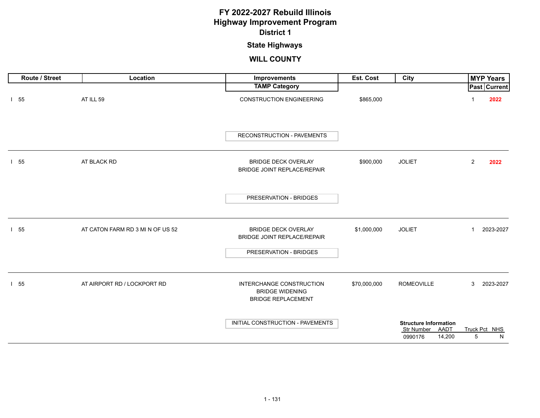### **State Highways**

| Route / Street | Location                         | Improvements                                                                    | Est. Cost    | City                                                                    | <b>MYP Years</b>          |
|----------------|----------------------------------|---------------------------------------------------------------------------------|--------------|-------------------------------------------------------------------------|---------------------------|
|                |                                  | <b>TAMP Category</b>                                                            |              |                                                                         | Past Current              |
| 155            | AT ILL 59                        | <b>CONSTRUCTION ENGINEERING</b>                                                 | \$865,000    |                                                                         | 2022                      |
|                |                                  | RECONSTRUCTION - PAVEMENTS                                                      |              |                                                                         |                           |
| $1\quad55$     | AT BLACK RD                      | <b>BRIDGE DECK OVERLAY</b><br><b>BRIDGE JOINT REPLACE/REPAIR</b>                | \$900,000    | <b>JOLIET</b>                                                           | $\overline{2}$<br>2022    |
|                |                                  | PRESERVATION - BRIDGES                                                          |              |                                                                         |                           |
| 155            | AT CATON FARM RD 3 MI N OF US 52 | <b>BRIDGE DECK OVERLAY</b><br>BRIDGE JOINT REPLACE/REPAIR                       | \$1,000,000  | <b>JOLIET</b>                                                           | 2023-2027<br>$\mathbf{1}$ |
|                |                                  | PRESERVATION - BRIDGES                                                          |              |                                                                         |                           |
| 155            | AT AIRPORT RD / LOCKPORT RD      | INTERCHANGE CONSTRUCTION<br><b>BRIDGE WIDENING</b><br><b>BRIDGE REPLACEMENT</b> | \$70,000,000 | <b>ROMEOVILLE</b>                                                       | 3<br>2023-2027            |
|                |                                  | INITIAL CONSTRUCTION - PAVEMENTS                                                |              | <b>Structure Information</b><br>AADT<br>Str Number<br>14,200<br>0990176 | Truck Pct NHS<br>5<br>N   |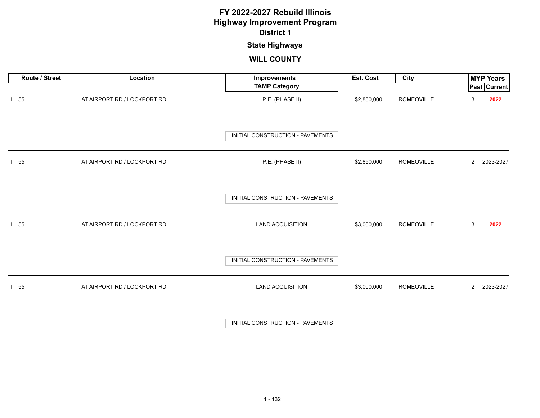### **State Highways**

| Route / Street | Location                    | Improvements                     | Est. Cost   | City              |                | <b>MYP Years</b>    |
|----------------|-----------------------------|----------------------------------|-------------|-------------------|----------------|---------------------|
|                |                             | <b>TAMP Category</b>             |             |                   |                | <b>Past Current</b> |
| $1\quad55$     | AT AIRPORT RD / LOCKPORT RD | P.E. (PHASE II)                  | \$2,850,000 | <b>ROMEOVILLE</b> | 3              | 2022                |
|                |                             | INITIAL CONSTRUCTION - PAVEMENTS |             |                   |                |                     |
| $1\quad55$     | AT AIRPORT RD / LOCKPORT RD | P.E. (PHASE II)                  | \$2,850,000 | <b>ROMEOVILLE</b> | $\overline{2}$ | 2023-2027           |
|                |                             | INITIAL CONSTRUCTION - PAVEMENTS |             |                   |                |                     |
| $1\quad55$     | AT AIRPORT RD / LOCKPORT RD | <b>LAND ACQUISITION</b>          | \$3,000,000 | ROMEOVILLE        | 3              | 2022                |
|                |                             | INITIAL CONSTRUCTION - PAVEMENTS |             |                   |                |                     |
| $1\quad55$     | AT AIRPORT RD / LOCKPORT RD | <b>LAND ACQUISITION</b>          | \$3,000,000 | <b>ROMEOVILLE</b> | $\overline{2}$ | 2023-2027           |
|                |                             | INITIAL CONSTRUCTION - PAVEMENTS |             |                   |                |                     |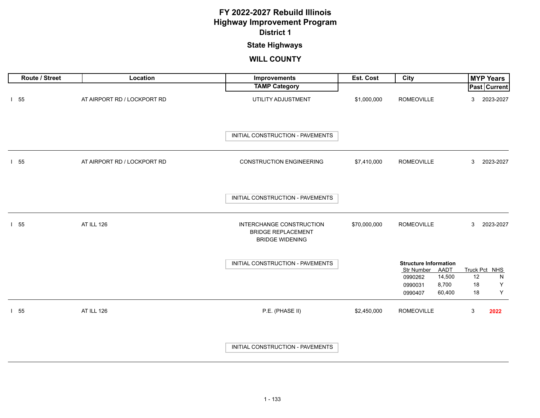### **State Highways**

| Route / Street | Location                    | Improvements                                                                    | Est. Cost    | City                                                                                                             | <b>MYP Years</b>                                       |
|----------------|-----------------------------|---------------------------------------------------------------------------------|--------------|------------------------------------------------------------------------------------------------------------------|--------------------------------------------------------|
|                |                             | <b>TAMP Category</b>                                                            |              |                                                                                                                  | <b>Past Current</b>                                    |
| $1\quad55$     | AT AIRPORT RD / LOCKPORT RD | UTILITY ADJUSTMENT                                                              | \$1,000,000  | <b>ROMEOVILLE</b>                                                                                                | 2023-2027<br>3                                         |
|                |                             | INITIAL CONSTRUCTION - PAVEMENTS                                                |              |                                                                                                                  |                                                        |
| $1\quad55$     | AT AIRPORT RD / LOCKPORT RD | <b>CONSTRUCTION ENGINEERING</b>                                                 | \$7,410,000  | <b>ROMEOVILLE</b>                                                                                                | 3<br>2023-2027                                         |
|                |                             | INITIAL CONSTRUCTION - PAVEMENTS                                                |              |                                                                                                                  |                                                        |
| $1\quad55$     | AT ILL 126                  | INTERCHANGE CONSTRUCTION<br><b>BRIDGE REPLACEMENT</b><br><b>BRIDGE WIDENING</b> | \$70,000,000 | <b>ROMEOVILLE</b>                                                                                                | 3<br>2023-2027                                         |
|                |                             | INITIAL CONSTRUCTION - PAVEMENTS                                                |              | <b>Structure Information</b><br>Str Number<br>AADT<br>14,500<br>0990262<br>8,700<br>0990031<br>60,400<br>0990407 | Truck Pct NHS<br>12<br>${\sf N}$<br>Y<br>18<br>Υ<br>18 |
| 155            | AT ILL 126                  | P.E. (PHASE II)                                                                 | \$2,450,000  | <b>ROMEOVILLE</b>                                                                                                | $\mathbf{3}$<br>2022                                   |
|                |                             | INITIAL CONSTRUCTION - PAVEMENTS                                                |              |                                                                                                                  |                                                        |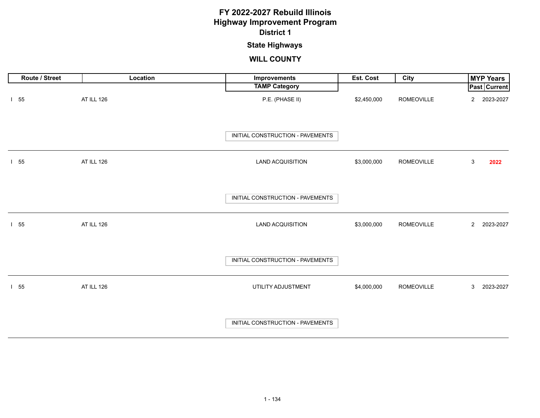# **State Highways**

| Route / Street | Location          | Improvements                     | Est. Cost   | City              | <b>MYP Years</b>            |
|----------------|-------------------|----------------------------------|-------------|-------------------|-----------------------------|
|                |                   | <b>TAMP Category</b>             |             |                   | <b>Past Current</b>         |
| $1\quad55$     | <b>AT ILL 126</b> | P.E. (PHASE II)                  | \$2,450,000 | <b>ROMEOVILLE</b> | 2023-2027<br>$\overline{2}$ |
|                |                   | INITIAL CONSTRUCTION - PAVEMENTS |             |                   |                             |
| $1\quad55$     | <b>AT ILL 126</b> | <b>LAND ACQUISITION</b>          | \$3,000,000 | <b>ROMEOVILLE</b> | $\mathsf 3$<br>2022         |
|                |                   | INITIAL CONSTRUCTION - PAVEMENTS |             |                   |                             |
| $1\quad55$     | <b>AT ILL 126</b> | <b>LAND ACQUISITION</b>          | \$3,000,000 | ROMEOVILLE        | 2023-2027<br>$2^{\circ}$    |
|                |                   | INITIAL CONSTRUCTION - PAVEMENTS |             |                   |                             |
| $1\quad55$     | AT ILL 126        | UTILITY ADJUSTMENT               | \$4,000,000 | ROMEOVILLE        | 3<br>2023-2027              |
|                |                   | INITIAL CONSTRUCTION - PAVEMENTS |             |                   |                             |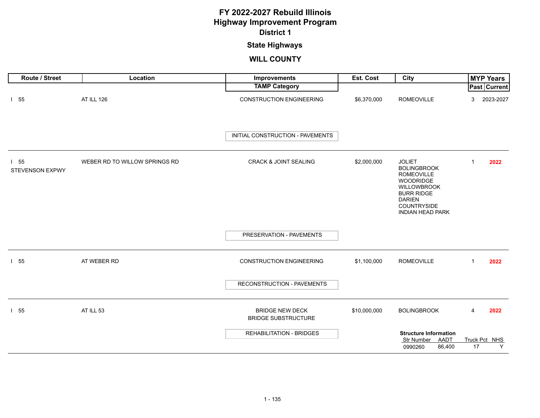### **State Highways**

| Route / Street                       | Location                      | Improvements                                         | Est. Cost    | <b>City</b>                                                                                                                                                                 |              | <b>MYP Years</b>    |
|--------------------------------------|-------------------------------|------------------------------------------------------|--------------|-----------------------------------------------------------------------------------------------------------------------------------------------------------------------------|--------------|---------------------|
|                                      |                               | <b>TAMP Category</b>                                 |              |                                                                                                                                                                             |              | <b>Past Current</b> |
| $1\quad55$                           | AT ILL 126                    | <b>CONSTRUCTION ENGINEERING</b>                      | \$6,370,000  | <b>ROMEOVILLE</b>                                                                                                                                                           | 3            | 2023-2027           |
|                                      |                               | INITIAL CONSTRUCTION - PAVEMENTS                     |              |                                                                                                                                                                             |              |                     |
| $1\quad55$<br><b>STEVENSON EXPWY</b> | WEBER RD TO WILLOW SPRINGS RD | <b>CRACK &amp; JOINT SEALING</b>                     | \$2,000,000  | <b>JOLIET</b><br><b>BOLINGBROOK</b><br><b>ROMEOVILLE</b><br>WOODRIDGE<br>WILLOWBROOK<br><b>BURR RIDGE</b><br><b>DARIEN</b><br><b>COUNTRYSIDE</b><br><b>INDIAN HEAD PARK</b> | 1            | 2022                |
|                                      |                               | PRESERVATION - PAVEMENTS                             |              |                                                                                                                                                                             |              |                     |
| $1\quad55$                           | AT WEBER RD                   | <b>CONSTRUCTION ENGINEERING</b>                      | \$1,100,000  | <b>ROMEOVILLE</b>                                                                                                                                                           | $\mathbf{1}$ | 2022                |
|                                      |                               | RECONSTRUCTION - PAVEMENTS                           |              |                                                                                                                                                                             |              |                     |
| $1\quad55$                           | AT ILL 53                     | <b>BRIDGE NEW DECK</b><br><b>BRIDGE SUBSTRUCTURE</b> | \$10,000,000 | <b>BOLINGBROOK</b>                                                                                                                                                          | 4            | 2022                |
|                                      |                               | <b>REHABILITATION - BRIDGES</b>                      |              | <b>Structure Information</b><br>Str Number AADT<br>86,400<br>0990260                                                                                                        | 17           | Truck Pct NHS<br>Y  |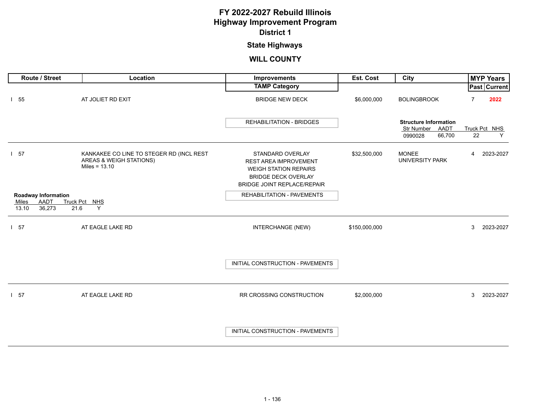# **State Highways**

| Route / Street                                                 | Location                                                                               | Improvements                                                                                                                                  | Est. Cost     | City                                                                    | <b>MYP Years</b>       |   |
|----------------------------------------------------------------|----------------------------------------------------------------------------------------|-----------------------------------------------------------------------------------------------------------------------------------------------|---------------|-------------------------------------------------------------------------|------------------------|---|
|                                                                |                                                                                        | <b>TAMP Category</b>                                                                                                                          |               |                                                                         | Past   Current         |   |
| $1\quad55$                                                     | AT JOLIET RD EXIT                                                                      | <b>BRIDGE NEW DECK</b>                                                                                                                        | \$6,000,000   | <b>BOLINGBROOK</b>                                                      | $\overline{7}$<br>2022 |   |
|                                                                |                                                                                        | <b>REHABILITATION - BRIDGES</b>                                                                                                               |               | <b>Structure Information</b><br>Str Number<br>AADT<br>66,700<br>0990028 | Truck Pct NHS<br>22    | Y |
| 57                                                             | KANKAKEE CO LINE TO STEGER RD (INCL REST<br>AREAS & WEIGH STATIONS)<br>Miles = $13.10$ | STANDARD OVERLAY<br>REST AREA IMPROVEMENT<br><b>WEIGH STATION REPAIRS</b><br><b>BRIDGE DECK OVERLAY</b><br><b>BRIDGE JOINT REPLACE/REPAIR</b> | \$32,500,000  | <b>MONEE</b><br>UNIVERSITY PARK                                         | 2023-2027<br>4         |   |
| <b>Roadway Information</b><br>AADT<br>Miles<br>36,273<br>13.10 | Truck Pct NHS<br>21.6<br>Y                                                             | <b>REHABILITATION - PAVEMENTS</b>                                                                                                             |               |                                                                         |                        |   |
| l 57                                                           | AT EAGLE LAKE RD                                                                       | INTERCHANGE (NEW)                                                                                                                             | \$150,000,000 |                                                                         | 3<br>2023-2027         |   |
|                                                                |                                                                                        | INITIAL CONSTRUCTION - PAVEMENTS                                                                                                              |               |                                                                         |                        |   |
| $1\quad57$                                                     | AT EAGLE LAKE RD                                                                       | RR CROSSING CONSTRUCTION                                                                                                                      | \$2,000,000   |                                                                         | 3<br>2023-2027         |   |
|                                                                |                                                                                        | INITIAL CONSTRUCTION - PAVEMENTS                                                                                                              |               |                                                                         |                        |   |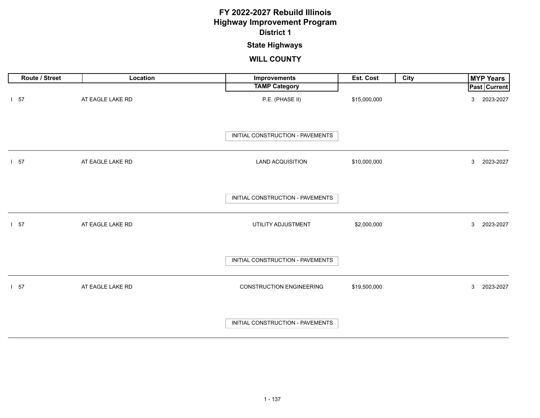### **State Highways**

| Route / Street | Location         | Improvements                     | Est. Cost    | City | <b>MYP Years</b>            |
|----------------|------------------|----------------------------------|--------------|------|-----------------------------|
|                |                  | <b>TAMP Category</b>             |              |      | <b>Past Current</b>         |
| $1\quad57$     | AT EAGLE LAKE RD | P.E. (PHASE II)                  | \$15,000,000 |      | 2023-2027<br>3              |
|                |                  | INITIAL CONSTRUCTION - PAVEMENTS |              |      |                             |
| $1\quad57$     | AT EAGLE LAKE RD | <b>LAND ACQUISITION</b>          | \$10,000,000 |      | 3 <sup>1</sup><br>2023-2027 |
|                |                  | INITIAL CONSTRUCTION - PAVEMENTS |              |      |                             |
| $1\quad57$     | AT EAGLE LAKE RD | UTILITY ADJUSTMENT               | \$2,000,000  |      | 3 <sup>1</sup><br>2023-2027 |
|                |                  | INITIAL CONSTRUCTION - PAVEMENTS |              |      |                             |
| $1\quad57$     | AT EAGLE LAKE RD | <b>CONSTRUCTION ENGINEERING</b>  | \$19,500,000 |      | 2023-2027<br>3              |
|                |                  | INITIAL CONSTRUCTION - PAVEMENTS |              |      |                             |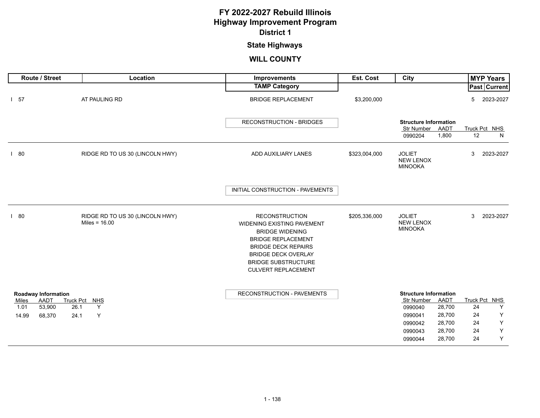# **State Highways**

| Route / Street                                                                          | Location                                           | Improvements                                                                                                                                                                                                                              | Est. Cost     | City                                                                                                                                                        | <b>MYP Years</b>                                                                            |
|-----------------------------------------------------------------------------------------|----------------------------------------------------|-------------------------------------------------------------------------------------------------------------------------------------------------------------------------------------------------------------------------------------------|---------------|-------------------------------------------------------------------------------------------------------------------------------------------------------------|---------------------------------------------------------------------------------------------|
|                                                                                         |                                                    | <b>TAMP Category</b>                                                                                                                                                                                                                      |               |                                                                                                                                                             | Past Current                                                                                |
| $1\quad57$                                                                              | AT PAULING RD                                      | <b>BRIDGE REPLACEMENT</b>                                                                                                                                                                                                                 | \$3,200,000   |                                                                                                                                                             | 2023-2027<br>5                                                                              |
|                                                                                         |                                                    | <b>RECONSTRUCTION - BRIDGES</b>                                                                                                                                                                                                           |               | <b>Structure Information</b><br>Str Number<br>AADT<br>1,800<br>0990204                                                                                      | Truck Pct NHS<br>12<br>N                                                                    |
| 180                                                                                     | RIDGE RD TO US 30 (LINCOLN HWY)                    | ADD AUXILIARY LANES                                                                                                                                                                                                                       | \$323,004,000 | <b>JOLIET</b><br><b>NEW LENOX</b><br><b>MINOOKA</b>                                                                                                         | 3<br>2023-2027                                                                              |
|                                                                                         |                                                    | INITIAL CONSTRUCTION - PAVEMENTS                                                                                                                                                                                                          |               |                                                                                                                                                             |                                                                                             |
| 180                                                                                     | RIDGE RD TO US 30 (LINCOLN HWY)<br>Miles = $16.00$ | <b>RECONSTRUCTION</b><br><b>WIDENING EXISTING PAVEMENT</b><br><b>BRIDGE WIDENING</b><br><b>BRIDGE REPLACEMENT</b><br><b>BRIDGE DECK REPAIRS</b><br><b>BRIDGE DECK OVERLAY</b><br><b>BRIDGE SUBSTRUCTURE</b><br><b>CULVERT REPLACEMENT</b> | \$205,336,000 | <b>JOLIET</b><br><b>NEW LENOX</b><br><b>MINOOKA</b>                                                                                                         | 3<br>2023-2027                                                                              |
| <b>Roadway Information</b><br><b>AADT</b><br>Miles<br>53,900<br>1.01<br>14.99<br>68,370 | Truck Pct NHS<br>Y<br>26.1<br>Y<br>24.1            | RECONSTRUCTION - PAVEMENTS                                                                                                                                                                                                                |               | <b>Structure Information</b><br>AADT<br>Str Number<br>28,700<br>0990040<br>28,700<br>0990041<br>28,700<br>0990042<br>28,700<br>0990043<br>28,700<br>0990044 | Truck Pct<br>NHS<br>24<br>Υ<br>Υ<br>24<br>$\mathsf Y$<br>24<br>Υ<br>24<br>$\mathsf Y$<br>24 |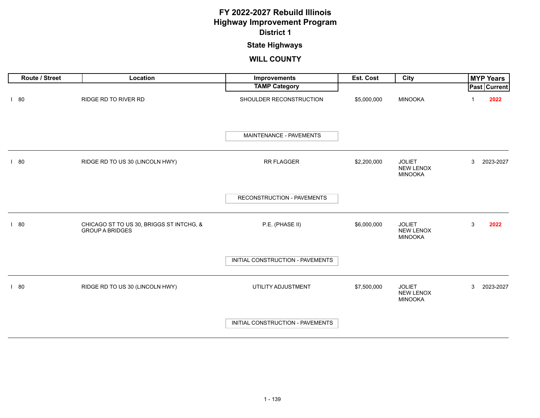### **State Highways**

| <b>Route / Street</b> | Location                                                           | Improvements                     | Est. Cost   | City                                                | <b>MYP Years</b> |
|-----------------------|--------------------------------------------------------------------|----------------------------------|-------------|-----------------------------------------------------|------------------|
|                       |                                                                    | <b>TAMP Category</b>             |             |                                                     | Past Current     |
| 180                   | RIDGE RD TO RIVER RD                                               | SHOULDER RECONSTRUCTION          | \$5,000,000 | <b>MINOOKA</b>                                      | 2022             |
|                       |                                                                    | MAINTENANCE - PAVEMENTS          |             |                                                     |                  |
| 180                   | RIDGE RD TO US 30 (LINCOLN HWY)                                    | RR FLAGGER                       | \$2,200,000 | <b>JOLIET</b><br>NEW LENOX<br><b>MINOOKA</b>        | 3<br>2023-2027   |
|                       |                                                                    | RECONSTRUCTION - PAVEMENTS       |             |                                                     |                  |
| $\vert$ 80            | CHICAGO ST TO US 30, BRIGGS ST INTCHG, &<br><b>GROUP A BRIDGES</b> | P.E. (PHASE II)                  | \$6,000,000 | <b>JOLIET</b><br><b>NEW LENOX</b><br><b>MINOOKA</b> | 3<br>2022        |
|                       |                                                                    | INITIAL CONSTRUCTION - PAVEMENTS |             |                                                     |                  |
| 80                    | RIDGE RD TO US 30 (LINCOLN HWY)                                    | UTILITY ADJUSTMENT               | \$7,500,000 | <b>JOLIET</b><br><b>NEW LENOX</b><br><b>MINOOKA</b> | 3<br>2023-2027   |
|                       |                                                                    | INITIAL CONSTRUCTION - PAVEMENTS |             |                                                     |                  |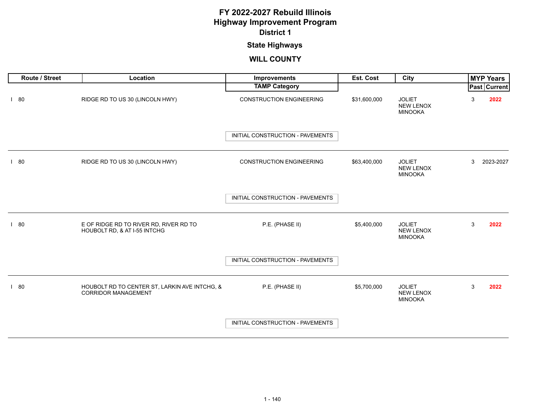# **State Highways**

| Route / Street | Location                                                                    | Improvements                     | Est. Cost    | City                                                |   | <b>MYP Years</b> |
|----------------|-----------------------------------------------------------------------------|----------------------------------|--------------|-----------------------------------------------------|---|------------------|
|                |                                                                             | <b>TAMP Category</b>             |              |                                                     |   | Past Current     |
| 180            | RIDGE RD TO US 30 (LINCOLN HWY)                                             | <b>CONSTRUCTION ENGINEERING</b>  | \$31,600,000 | <b>JOLIET</b><br><b>NEW LENOX</b><br><b>MINOOKA</b> | 3 | 2022             |
|                |                                                                             | INITIAL CONSTRUCTION - PAVEMENTS |              |                                                     |   |                  |
| 180            | RIDGE RD TO US 30 (LINCOLN HWY)                                             | <b>CONSTRUCTION ENGINEERING</b>  | \$63,400,000 | <b>JOLIET</b><br><b>NEW LENOX</b><br><b>MINOOKA</b> | 3 | 2023-2027        |
|                |                                                                             | INITIAL CONSTRUCTION - PAVEMENTS |              |                                                     |   |                  |
| 180            | E OF RIDGE RD TO RIVER RD, RIVER RD TO<br>HOUBOLT RD, & AT I-55 INTCHG      | P.E. (PHASE II)                  | \$5,400,000  | <b>JOLIET</b><br><b>NEW LENOX</b><br><b>MINOOKA</b> | 3 | 2022             |
|                |                                                                             | INITIAL CONSTRUCTION - PAVEMENTS |              |                                                     |   |                  |
| 180            | HOUBOLT RD TO CENTER ST, LARKIN AVE INTCHG, &<br><b>CORRIDOR MANAGEMENT</b> | P.E. (PHASE II)                  | \$5,700,000  | <b>JOLIET</b><br><b>NEW LENOX</b><br><b>MINOOKA</b> | 3 | 2022             |
|                |                                                                             | INITIAL CONSTRUCTION - PAVEMENTS |              |                                                     |   |                  |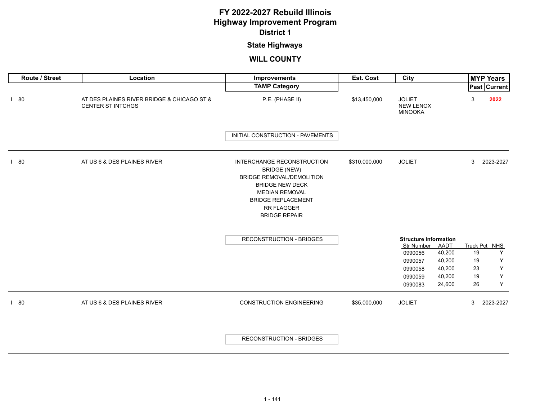# **State Highways**

| Route / Street | Location                                                               | <b>Improvements</b>                                                                                                                                                                                                | Est. Cost     | City                                                |        |    | <b>MYP Years</b> |
|----------------|------------------------------------------------------------------------|--------------------------------------------------------------------------------------------------------------------------------------------------------------------------------------------------------------------|---------------|-----------------------------------------------------|--------|----|------------------|
|                |                                                                        | <b>TAMP Category</b>                                                                                                                                                                                               |               |                                                     |        |    | Past Current     |
| 180            | AT DES PLAINES RIVER BRIDGE & CHICAGO ST &<br><b>CENTER ST INTCHGS</b> | P.E. (PHASE II)                                                                                                                                                                                                    | \$13,450,000  | <b>JOLIET</b><br><b>NEW LENOX</b><br><b>MINOOKA</b> |        | 3  | 2022             |
|                |                                                                        | INITIAL CONSTRUCTION - PAVEMENTS                                                                                                                                                                                   |               |                                                     |        |    |                  |
| 180            | AT US 6 & DES PLAINES RIVER                                            | <b>INTERCHANGE RECONSTRUCTION</b><br><b>BRIDGE (NEW)</b><br><b>BRIDGE REMOVAL/DEMOLITION</b><br><b>BRIDGE NEW DECK</b><br><b>MEDIAN REMOVAL</b><br><b>BRIDGE REPLACEMENT</b><br>RR FLAGGER<br><b>BRIDGE REPAIR</b> | \$310,000,000 | <b>JOLIET</b>                                       |        | 3  | 2023-2027        |
|                |                                                                        | <b>RECONSTRUCTION - BRIDGES</b>                                                                                                                                                                                    |               | <b>Structure Information</b>                        |        |    |                  |
|                |                                                                        |                                                                                                                                                                                                                    |               | Str Number                                          | AADT   |    | Truck Pct NHS    |
|                |                                                                        |                                                                                                                                                                                                                    |               | 0990056                                             | 40,200 | 19 | Y                |
|                |                                                                        |                                                                                                                                                                                                                    |               | 0990057                                             | 40,200 | 19 | Y                |
|                |                                                                        |                                                                                                                                                                                                                    |               | 0990058                                             | 40,200 | 23 | $\mathsf Y$      |
|                |                                                                        |                                                                                                                                                                                                                    |               | 0990059                                             | 40,200 | 19 | $\mathsf Y$      |
|                |                                                                        |                                                                                                                                                                                                                    |               | 0990083                                             | 24,600 | 26 | Υ                |
| 180            | AT US 6 & DES PLAINES RIVER                                            | <b>CONSTRUCTION ENGINEERING</b>                                                                                                                                                                                    | \$35,000,000  | <b>JOLIET</b>                                       |        | 3  | 2023-2027        |
|                |                                                                        | <b>RECONSTRUCTION - BRIDGES</b>                                                                                                                                                                                    |               |                                                     |        |    |                  |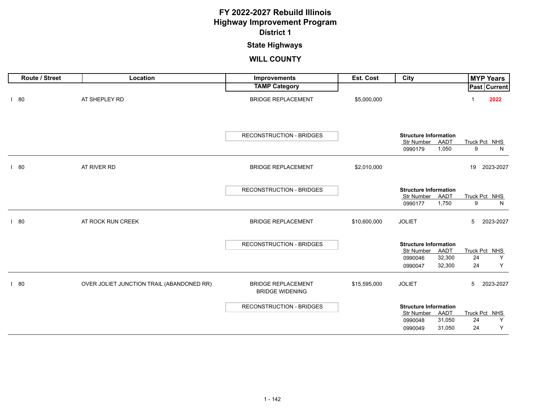### **State Highways**

| Route / Street | Location                                  | Improvements                                        | Est. Cost    | City                                                                                                | <b>MYP Years</b>                    |
|----------------|-------------------------------------------|-----------------------------------------------------|--------------|-----------------------------------------------------------------------------------------------------|-------------------------------------|
|                |                                           | <b>TAMP Category</b>                                |              |                                                                                                     | Past Current                        |
| 180            | AT SHEPLEY RD                             | <b>BRIDGE REPLACEMENT</b>                           | \$5,000,000  |                                                                                                     | 2022                                |
|                |                                           | RECONSTRUCTION - BRIDGES                            |              | <b>Structure Information</b><br>Str Number AADT<br>1,050<br>0990179                                 | Truck Pct NHS<br>9<br>N             |
| 180            | AT RIVER RD                               | <b>BRIDGE REPLACEMENT</b>                           | \$2,010,000  |                                                                                                     | 2023-2027<br>19                     |
|                |                                           | <b>RECONSTRUCTION - BRIDGES</b>                     |              | <b>Structure Information</b><br>Str Number<br>AADT<br>1,750<br>0990177                              | Truck Pct NHS<br>9<br>N             |
| 180            | AT ROCK RUN CREEK                         | <b>BRIDGE REPLACEMENT</b>                           | \$10,600,000 | <b>JOLIET</b>                                                                                       | $5\overline{)}$<br>2023-2027        |
|                |                                           | RECONSTRUCTION - BRIDGES                            |              | <b>Structure Information</b><br>Str Number<br>AADT<br>32,300<br>0990046<br>32,300<br>0990047        | Truck Pct NHS<br>Y<br>24<br>24<br>Y |
| 180            | OVER JOLIET JUNCTION TRAIL (ABANDONED RR) | <b>BRIDGE REPLACEMENT</b><br><b>BRIDGE WIDENING</b> | \$15,595,000 | <b>JOLIET</b>                                                                                       | 5<br>2023-2027                      |
|                |                                           | <b>RECONSTRUCTION - BRIDGES</b>                     |              | <b>Structure Information</b><br><b>Str Number</b><br>AADT<br>31,050<br>0990048<br>31,050<br>0990049 | Truck Pct NHS<br>24<br>Y<br>24<br>Υ |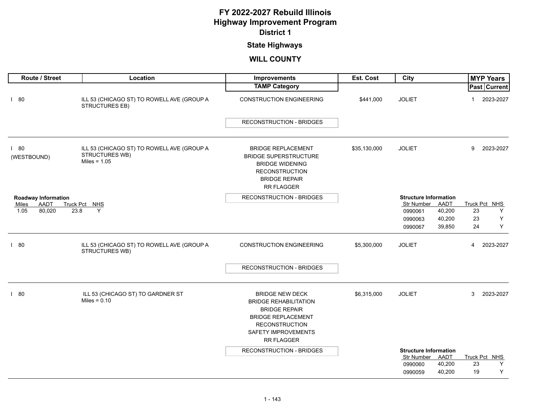### **State Highways**

| Route / Street                         | Location                                                                       | Improvements                                                                                                                                                                     | Est. Cost    | City                                    | <b>MYP Years</b>         |
|----------------------------------------|--------------------------------------------------------------------------------|----------------------------------------------------------------------------------------------------------------------------------------------------------------------------------|--------------|-----------------------------------------|--------------------------|
|                                        |                                                                                | <b>TAMP Category</b>                                                                                                                                                             |              |                                         | Past Current             |
| 180                                    | ILL 53 (CHICAGO ST) TO ROWELL AVE (GROUP A<br>STRUCTURES EB)                   | <b>CONSTRUCTION ENGINEERING</b>                                                                                                                                                  | \$441,000    | <b>JOLIET</b>                           | 2023-2027<br>1           |
|                                        |                                                                                | <b>RECONSTRUCTION - BRIDGES</b>                                                                                                                                                  |              |                                         |                          |
| 180<br>(WESTBOUND)                     | ILL 53 (CHICAGO ST) TO ROWELL AVE (GROUP A<br>STRUCTURES WB)<br>Miles = $1.05$ | <b>BRIDGE REPLACEMENT</b><br><b>BRIDGE SUPERSTRUCTURE</b><br><b>BRIDGE WIDENING</b><br><b>RECONSTRUCTION</b><br><b>BRIDGE REPAIR</b><br><b>RR FLAGGER</b>                        | \$35,130,000 | <b>JOLIET</b>                           | 9<br>2023-2027           |
| <b>Roadway Information</b>             |                                                                                | <b>RECONSTRUCTION - BRIDGES</b>                                                                                                                                                  |              | <b>Structure Information</b>            |                          |
| <b>AADT</b><br>Miles<br>80,020<br>1.05 | Truck Pct NHS<br>Y<br>23.8                                                     |                                                                                                                                                                                  |              | Str Number<br>AADT<br>40,200<br>0990061 | Truck Pct NHS<br>23<br>Y |
|                                        |                                                                                |                                                                                                                                                                                  |              | 40,200<br>0990063                       | 23<br>Υ                  |
|                                        |                                                                                |                                                                                                                                                                                  |              | 39,850<br>0990067                       | Υ<br>24                  |
| 180                                    | ILL 53 (CHICAGO ST) TO ROWELL AVE (GROUP A<br>STRUCTURES WB)                   | <b>CONSTRUCTION ENGINEERING</b>                                                                                                                                                  | \$5,300,000  | <b>JOLIET</b>                           | 2023-2027<br>4           |
|                                        |                                                                                | <b>RECONSTRUCTION - BRIDGES</b>                                                                                                                                                  |              |                                         |                          |
| 180                                    | ILL 53 (CHICAGO ST) TO GARDNER ST<br>Miles = $0.10$                            | <b>BRIDGE NEW DECK</b><br><b>BRIDGE REHABILITATION</b><br><b>BRIDGE REPAIR</b><br><b>BRIDGE REPLACEMENT</b><br><b>RECONSTRUCTION</b><br><b>SAFETY IMPROVEMENTS</b><br>RR FLAGGER | \$6,315,000  | <b>JOLIET</b>                           | 3<br>2023-2027           |
|                                        |                                                                                | RECONSTRUCTION - BRIDGES                                                                                                                                                         |              | <b>Structure Information</b>            |                          |
|                                        |                                                                                |                                                                                                                                                                                  |              | Str Number<br><b>AADT</b>               | Truck Pct NHS            |
|                                        |                                                                                |                                                                                                                                                                                  |              | 0990060<br>40,200                       | 23<br>Y                  |
|                                        |                                                                                |                                                                                                                                                                                  |              | 40,200<br>0990059                       | 19<br>Υ                  |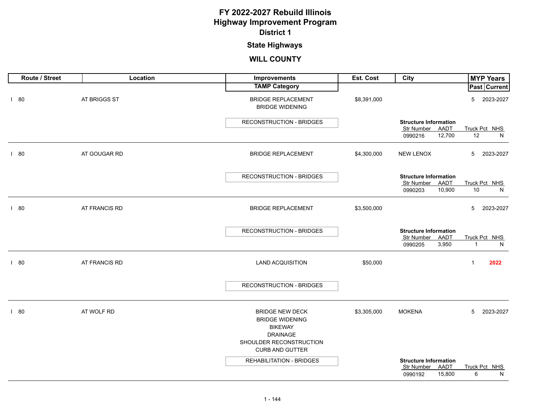# **State Highways**

| Route / Street | Location      | Improvements                                        | Est. Cost   | City                                            | <b>MYP Years</b>     |
|----------------|---------------|-----------------------------------------------------|-------------|-------------------------------------------------|----------------------|
|                |               | <b>TAMP Category</b>                                |             |                                                 | Past Current         |
| 180            | AT BRIGGS ST  | <b>BRIDGE REPLACEMENT</b><br><b>BRIDGE WIDENING</b> | \$8,391,000 |                                                 | 5<br>2023-2027       |
|                |               | <b>RECONSTRUCTION - BRIDGES</b>                     |             | <b>Structure Information</b>                    |                      |
|                |               |                                                     |             | Str Number<br>AADT                              | Truck Pct NHS        |
|                |               |                                                     |             | 12,700<br>0990216                               | 12<br>N              |
| 180            | AT GOUGAR RD  | <b>BRIDGE REPLACEMENT</b>                           | \$4,300,000 | <b>NEW LENOX</b>                                | 5<br>2023-2027       |
|                |               | <b>RECONSTRUCTION - BRIDGES</b>                     |             | <b>Structure Information</b>                    |                      |
|                |               |                                                     |             | Str Number<br>AADT                              | Truck Pct NHS        |
|                |               |                                                     |             | 10,900<br>0990203                               | $10\,$<br>N          |
| 180            | AT FRANCIS RD | <b>BRIDGE REPLACEMENT</b>                           | \$3,500,000 |                                                 | 5<br>2023-2027       |
|                |               | RECONSTRUCTION - BRIDGES                            |             | <b>Structure Information</b>                    |                      |
|                |               |                                                     |             | Str Number AADT                                 | Truck Pct NHS        |
|                |               |                                                     |             | 3,950<br>0990205                                | $\overline{1}$<br>N  |
| 180            | AT FRANCIS RD | <b>LAND ACQUISITION</b>                             | \$50,000    |                                                 | $\mathbf{1}$<br>2022 |
|                |               |                                                     |             |                                                 |                      |
|                |               | RECONSTRUCTION - BRIDGES                            |             |                                                 |                      |
|                |               |                                                     |             |                                                 |                      |
| 180            | AT WOLF RD    | <b>BRIDGE NEW DECK</b><br><b>BRIDGE WIDENING</b>    | \$3,305,000 | <b>MOKENA</b>                                   | 5<br>2023-2027       |
|                |               | <b>BIKEWAY</b>                                      |             |                                                 |                      |
|                |               | <b>DRAINAGE</b>                                     |             |                                                 |                      |
|                |               | SHOULDER RECONSTRUCTION                             |             |                                                 |                      |
|                |               | <b>CURB AND GUTTER</b>                              |             |                                                 |                      |
|                |               | <b>REHABILITATION - BRIDGES</b>                     |             | <b>Structure Information</b><br>Str Number AADT | Truck Pct NHS        |
|                |               |                                                     |             | 0990192<br>15,800                               | 6<br>N               |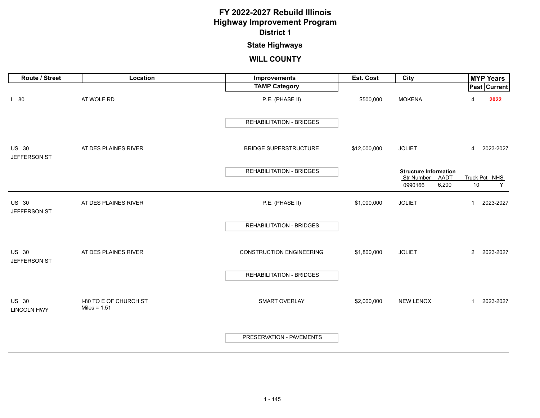# **State Highways**

| <b>Route / Street</b>              | Location                                 | Improvements                    | <b>Est. Cost</b> | City                                | <b>MYP Years</b>            |
|------------------------------------|------------------------------------------|---------------------------------|------------------|-------------------------------------|-----------------------------|
|                                    |                                          | <b>TAMP Category</b>            |                  |                                     | Past Current                |
| 180                                | AT WOLF RD                               | P.E. (PHASE II)                 | \$500,000        | <b>MOKENA</b>                       | 2022<br>4                   |
|                                    |                                          | <b>REHABILITATION - BRIDGES</b> |                  |                                     |                             |
| <b>US 30</b><br>JEFFERSON ST       | AT DES PLAINES RIVER                     | <b>BRIDGE SUPERSTRUCTURE</b>    | \$12,000,000     | <b>JOLIET</b>                       | 2023-2027<br>$\overline{4}$ |
|                                    |                                          | <b>REHABILITATION - BRIDGES</b> |                  | <b>Structure Information</b>        |                             |
|                                    |                                          |                                 |                  | Str Number AADT<br>6,200<br>0990166 | Truck Pct NHS<br>10<br>Y    |
| US 30<br>JEFFERSON ST              | AT DES PLAINES RIVER                     | P.E. (PHASE II)                 | \$1,000,000      | <b>JOLIET</b>                       | 2023-2027<br>$\mathbf{1}$   |
|                                    |                                          | <b>REHABILITATION - BRIDGES</b> |                  |                                     |                             |
| <b>US 30</b><br>JEFFERSON ST       | AT DES PLAINES RIVER                     | <b>CONSTRUCTION ENGINEERING</b> | \$1,800,000      | <b>JOLIET</b>                       | $\overline{2}$<br>2023-2027 |
|                                    |                                          | <b>REHABILITATION - BRIDGES</b> |                  |                                     |                             |
| <b>US 30</b><br><b>LINCOLN HWY</b> | I-80 TO E OF CHURCH ST<br>Miles = $1.51$ | SMART OVERLAY                   | \$2,000,000      | NEW LENOX                           | 2023-2027<br>$\mathbf{1}$   |
|                                    |                                          | PRESERVATION - PAVEMENTS        |                  |                                     |                             |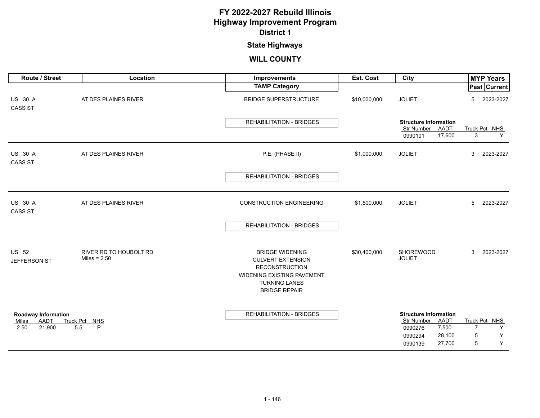# **State Highways**

| <b>Route / Street</b>            | Location                                 | Improvements                                                                                                                                                     | <b>Est. Cost</b> | City                                   | <b>MYP Years</b>                     |
|----------------------------------|------------------------------------------|------------------------------------------------------------------------------------------------------------------------------------------------------------------|------------------|----------------------------------------|--------------------------------------|
|                                  |                                          | <b>TAMP Category</b>                                                                                                                                             |                  |                                        | Past Current                         |
| <b>US 30 A</b><br><b>CASS ST</b> | AT DES PLAINES RIVER                     | <b>BRIDGE SUPERSTRUCTURE</b>                                                                                                                                     | \$10,000,000     | <b>JOLIET</b>                          | 2023-2027<br>5                       |
|                                  |                                          | <b>REHABILITATION - BRIDGES</b>                                                                                                                                  |                  | <b>Structure Information</b>           |                                      |
|                                  |                                          |                                                                                                                                                                  |                  | Str Number AADT                        | Truck Pct NHS                        |
|                                  |                                          |                                                                                                                                                                  |                  | 17,600<br>0990101                      | 3<br>Y                               |
| <b>US 30 A</b><br><b>CASS ST</b> | AT DES PLAINES RIVER                     | P.E. (PHASE II)                                                                                                                                                  | \$1,000,000      | <b>JOLIET</b>                          | 3<br>2023-2027                       |
|                                  |                                          | <b>REHABILITATION - BRIDGES</b>                                                                                                                                  |                  |                                        |                                      |
|                                  |                                          |                                                                                                                                                                  |                  |                                        |                                      |
| <b>US 30 A</b><br><b>CASS ST</b> | AT DES PLAINES RIVER                     | <b>CONSTRUCTION ENGINEERING</b>                                                                                                                                  | \$1,500,000      | <b>JOLIET</b>                          | 5<br>2023-2027                       |
|                                  |                                          | <b>REHABILITATION - BRIDGES</b>                                                                                                                                  |                  |                                        |                                      |
| <b>US 52</b><br>JEFFERSON ST     | RIVER RD TO HOUBOLT RD<br>Miles = $2.50$ | <b>BRIDGE WIDENING</b><br><b>CULVERT EXTENSION</b><br><b>RECONSTRUCTION</b><br><b>WIDENING EXISTING PAVEMENT</b><br><b>TURNING LANES</b><br><b>BRIDGE REPAIR</b> | \$30,400,000     | SHOREWOOD<br><b>JOLIET</b>             | 3<br>2023-2027                       |
| <b>Roadway Information</b>       |                                          | <b>REHABILITATION - BRIDGES</b>                                                                                                                                  |                  | <b>Structure Information</b>           |                                      |
| AADT<br>Miles<br>21,900<br>2.50  | Truck Pct NHS<br>5.5<br>P                |                                                                                                                                                                  |                  | Str Number<br>AADT<br>7,500<br>0990276 | Truck Pct NHS<br>$\overline{7}$<br>Y |
|                                  |                                          |                                                                                                                                                                  |                  | 28,100<br>0990294                      | 5<br>Υ                               |
|                                  |                                          |                                                                                                                                                                  |                  | 27,700<br>0990139                      | Y<br>5                               |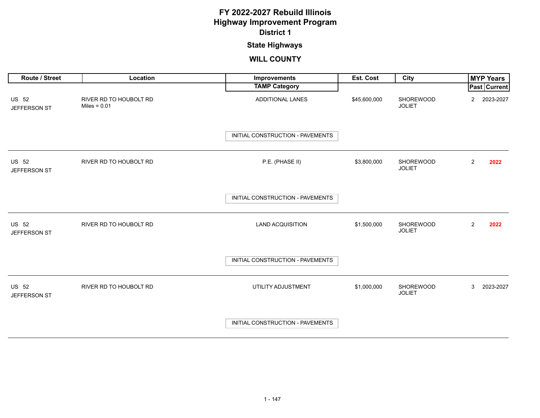### **State Highways**

| Route / Street               | Location                                 | Improvements                     | Est. Cost    | City                       | <b>MYP Years</b>            |
|------------------------------|------------------------------------------|----------------------------------|--------------|----------------------------|-----------------------------|
|                              |                                          | <b>TAMP Category</b>             |              |                            | Past Current                |
| US 52<br>JEFFERSON ST        | RIVER RD TO HOUBOLT RD<br>Miles = $0.01$ | ADDITIONAL LANES                 | \$45,600,000 | SHOREWOOD<br><b>JOLIET</b> | 2023-2027<br>$\overline{2}$ |
|                              |                                          | INITIAL CONSTRUCTION - PAVEMENTS |              |                            |                             |
| <b>US 52</b><br>JEFFERSON ST | RIVER RD TO HOUBOLT RD                   | P.E. (PHASE II)                  | \$3,800,000  | SHOREWOOD<br><b>JOLIET</b> | $\overline{2}$<br>2022      |
|                              |                                          | INITIAL CONSTRUCTION - PAVEMENTS |              |                            |                             |
| <b>US 52</b><br>JEFFERSON ST | RIVER RD TO HOUBOLT RD                   | <b>LAND ACQUISITION</b>          | \$1,500,000  | SHOREWOOD<br><b>JOLIET</b> | $\overline{2}$<br>2022      |
|                              |                                          | INITIAL CONSTRUCTION - PAVEMENTS |              |                            |                             |
| <b>US 52</b><br>JEFFERSON ST | RIVER RD TO HOUBOLT RD                   | UTILITY ADJUSTMENT               | \$1,000,000  | SHOREWOOD<br><b>JOLIET</b> | 2023-2027<br>3              |
|                              |                                          | INITIAL CONSTRUCTION - PAVEMENTS |              |                            |                             |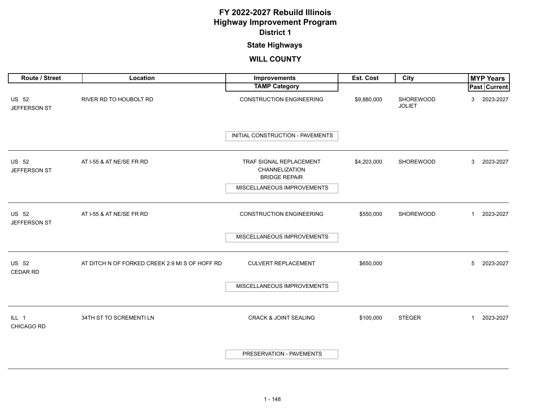# **State Highways**

| Route / Street               | Location                                       | Improvements                                                      | Est. Cost   | City                       | <b>MYP Years</b>          |
|------------------------------|------------------------------------------------|-------------------------------------------------------------------|-------------|----------------------------|---------------------------|
|                              |                                                | <b>TAMP Category</b>                                              |             |                            | Past Current              |
| US 52<br>JEFFERSON ST        | RIVER RD TO HOUBOLT RD                         | <b>CONSTRUCTION ENGINEERING</b>                                   | \$9,880,000 | SHOREWOOD<br><b>JOLIET</b> | 2023-2027<br>3            |
|                              |                                                | INITIAL CONSTRUCTION - PAVEMENTS                                  |             |                            |                           |
| <b>US 52</b><br>JEFFERSON ST | AT I-55 & AT NE/SE FR RD                       | TRAF SIGNAL REPLACEMENT<br>CHANNELIZATION<br><b>BRIDGE REPAIR</b> | \$4,203,000 | SHOREWOOD                  | 2023-2027<br>3            |
|                              |                                                | MISCELLANEOUS IMPROVEMENTS                                        |             |                            |                           |
| <b>US 52</b><br>JEFFERSON ST | AT I-55 & AT NE/SE FR RD                       | <b>CONSTRUCTION ENGINEERING</b>                                   | \$550,000   | SHOREWOOD                  | 2023-2027<br>$\mathbf{1}$ |
|                              |                                                | MISCELLANEOUS IMPROVEMENTS                                        |             |                            |                           |
| <b>US 52</b><br>CEDAR RD     | AT DITCH N OF FORKED CREEK 2.9 MI S OF HOFF RD | <b>CULVERT REPLACEMENT</b>                                        | \$650,000   |                            | 2023-2027<br>5            |
|                              |                                                | MISCELLANEOUS IMPROVEMENTS                                        |             |                            |                           |
| ILL 1<br>CHICAGO RD          | 34TH ST TO SCREMENTI LN                        | <b>CRACK &amp; JOINT SEALING</b>                                  | \$100,000   | <b>STEGER</b>              | 2023-2027<br>1            |
|                              |                                                | PRESERVATION - PAVEMENTS                                          |             |                            |                           |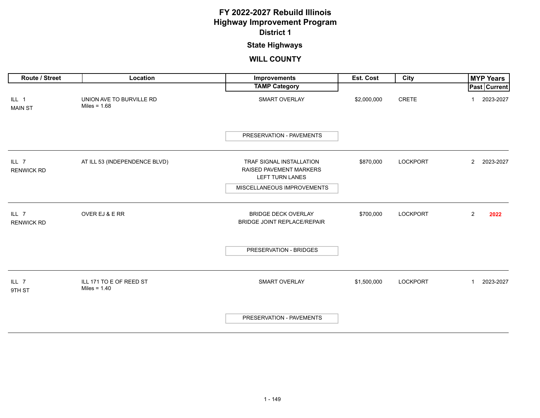### **State Highways**

| Route / Street             | Location                                   | Improvements                                                           | Est. Cost   | City            | <b>MYP Years</b>          |
|----------------------------|--------------------------------------------|------------------------------------------------------------------------|-------------|-----------------|---------------------------|
|                            |                                            | <b>TAMP Category</b>                                                   |             |                 | Past   Current            |
| ILL 1<br><b>MAIN ST</b>    | UNION AVE TO BURVILLE RD<br>Miles = $1.68$ | SMART OVERLAY                                                          | \$2,000,000 | CRETE           | 2023-2027<br>$\mathbf{1}$ |
|                            |                                            | PRESERVATION - PAVEMENTS                                               |             |                 |                           |
| ILL 7<br><b>RENWICK RD</b> | AT ILL 53 (INDEPENDENCE BLVD)              | TRAF SIGNAL INSTALLATION<br>RAISED PAVEMENT MARKERS<br>LEFT TURN LANES | \$870,000   | <b>LOCKPORT</b> | 2 2023-2027               |
|                            |                                            | MISCELLANEOUS IMPROVEMENTS                                             |             |                 |                           |
| ILL 7<br><b>RENWICK RD</b> | OVER EJ & E RR                             | <b>BRIDGE DECK OVERLAY</b><br>BRIDGE JOINT REPLACE/REPAIR              | \$700,000   | <b>LOCKPORT</b> | $\overline{2}$<br>2022    |
|                            |                                            | PRESERVATION - BRIDGES                                                 |             |                 |                           |
| ILL <sub>7</sub><br>9TH ST | ILL 171 TO E OF REED ST<br>Miles = $1.40$  | SMART OVERLAY                                                          | \$1,500,000 | <b>LOCKPORT</b> | 2023-2027<br>$\mathbf{1}$ |
|                            |                                            | PRESERVATION - PAVEMENTS                                               |             |                 |                           |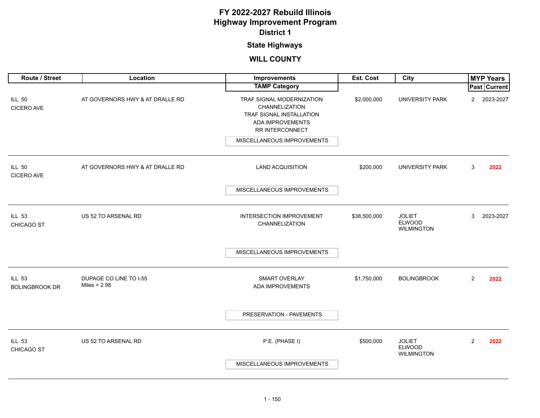### **State Highways**

| Route / Street                         | Location                                 | <b>Improvements</b>                                                                                            | Est. Cost    | City                                                |                | <b>MYP Years</b> |
|----------------------------------------|------------------------------------------|----------------------------------------------------------------------------------------------------------------|--------------|-----------------------------------------------------|----------------|------------------|
|                                        |                                          | <b>TAMP Category</b>                                                                                           |              |                                                     |                | Past Current     |
| <b>ILL 50</b><br><b>CICERO AVE</b>     | AT GOVERNORS HWY & AT DRALLE RD          | TRAF SIGNAL MODERNIZATION<br>CHANNELIZATION<br>TRAF SIGNAL INSTALLATION<br>ADA IMPROVEMENTS<br>RR INTERCONNECT | \$2,000,000  | <b>UNIVERSITY PARK</b>                              | $\overline{2}$ | 2023-2027        |
|                                        |                                          | MISCELLANEOUS IMPROVEMENTS                                                                                     |              |                                                     |                |                  |
| <b>ILL 50</b><br><b>CICERO AVE</b>     | AT GOVERNORS HWY & AT DRALLE RD          | <b>LAND ACQUISITION</b>                                                                                        | \$200,000    | UNIVERSITY PARK                                     | 3              | 2022             |
|                                        |                                          | MISCELLANEOUS IMPROVEMENTS                                                                                     |              |                                                     |                |                  |
| <b>ILL 53</b><br><b>CHICAGO ST</b>     | US 52 TO ARSENAL RD                      | INTERSECTION IMPROVEMENT<br><b>CHANNELIZATION</b>                                                              | \$38,500,000 | <b>JOLIET</b><br><b>ELWOOD</b><br><b>WILMINGTON</b> | 3              | 2023-2027        |
|                                        |                                          | MISCELLANEOUS IMPROVEMENTS                                                                                     |              |                                                     |                |                  |
| <b>ILL 53</b><br><b>BOLINGBROOK DR</b> | DUPAGE CO LINE TO I-55<br>Miles = $2.98$ | SMART OVERLAY<br>ADA IMPROVEMENTS                                                                              | \$1,750,000  | <b>BOLINGBROOK</b>                                  | $\overline{2}$ | 2022             |
|                                        |                                          | PRESERVATION - PAVEMENTS                                                                                       |              |                                                     |                |                  |
| <b>ILL 53</b><br>CHICAGO ST            | US 52 TO ARSENAL RD                      | P.E. (PHASE I)                                                                                                 | \$500,000    | <b>JOLIET</b><br><b>ELWOOD</b><br><b>WILMINGTON</b> | $\mathbf{2}$   | 2022             |
|                                        |                                          | MISCELLANEOUS IMPROVEMENTS                                                                                     |              |                                                     |                |                  |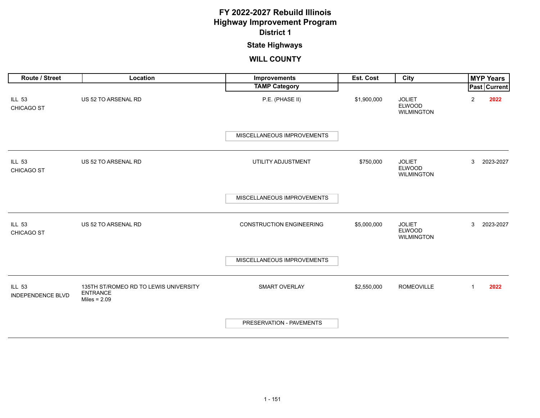### **State Highways**

| <b>Route / Street</b>                     | Location                                                                   | Improvements                    | <b>Est. Cost</b> | City                                                | <b>MYP Years</b>       |  |
|-------------------------------------------|----------------------------------------------------------------------------|---------------------------------|------------------|-----------------------------------------------------|------------------------|--|
|                                           |                                                                            | <b>TAMP Category</b>            |                  |                                                     | Past   Current         |  |
| <b>ILL 53</b><br>CHICAGO ST               | US 52 TO ARSENAL RD                                                        | P.E. (PHASE II)                 | \$1,900,000      | <b>JOLIET</b><br><b>ELWOOD</b><br><b>WILMINGTON</b> | $\overline{c}$<br>2022 |  |
|                                           |                                                                            | MISCELLANEOUS IMPROVEMENTS      |                  |                                                     |                        |  |
| <b>ILL 53</b><br>CHICAGO ST               | US 52 TO ARSENAL RD                                                        | UTILITY ADJUSTMENT              | \$750,000        | <b>JOLIET</b><br><b>ELWOOD</b><br><b>WILMINGTON</b> | 2023-2027<br>3         |  |
|                                           |                                                                            | MISCELLANEOUS IMPROVEMENTS      |                  |                                                     |                        |  |
| <b>ILL 53</b><br>CHICAGO ST               | US 52 TO ARSENAL RD                                                        | <b>CONSTRUCTION ENGINEERING</b> | \$5,000,000      | <b>JOLIET</b><br><b>ELWOOD</b><br><b>WILMINGTON</b> | 3<br>2023-2027         |  |
|                                           |                                                                            | MISCELLANEOUS IMPROVEMENTS      |                  |                                                     |                        |  |
| <b>ILL 53</b><br><b>INDEPENDENCE BLVD</b> | 135TH ST/ROMEO RD TO LEWIS UNIVERSITY<br><b>ENTRANCE</b><br>Miles = $2.09$ | SMART OVERLAY                   | \$2,550,000      | <b>ROMEOVILLE</b>                                   | $\mathbf{1}$<br>2022   |  |
|                                           |                                                                            | PRESERVATION - PAVEMENTS        |                  |                                                     |                        |  |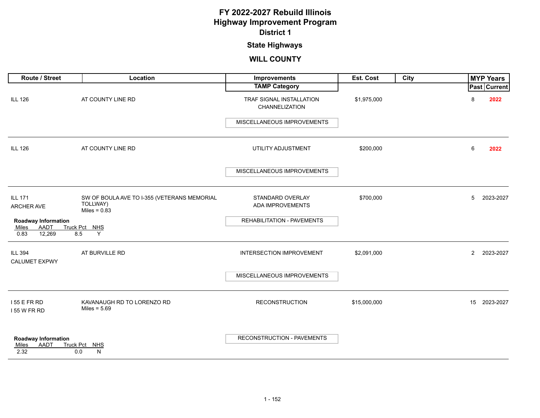### **State Highways**

| Route / Street                                             | Location                                                                  | <b>Improvements</b>                        | Est. Cost    | City |                | <b>MYP Years</b> |
|------------------------------------------------------------|---------------------------------------------------------------------------|--------------------------------------------|--------------|------|----------------|------------------|
|                                                            |                                                                           | <b>TAMP Category</b>                       |              |      |                | Past Current     |
| <b>ILL 126</b>                                             | AT COUNTY LINE RD                                                         | TRAF SIGNAL INSTALLATION<br>CHANNELIZATION | \$1,975,000  |      | 8              | 2022             |
|                                                            |                                                                           | MISCELLANEOUS IMPROVEMENTS                 |              |      |                |                  |
| <b>ILL 126</b>                                             | AT COUNTY LINE RD                                                         | UTILITY ADJUSTMENT                         | \$200,000    |      | 6              | 2022             |
|                                                            |                                                                           | MISCELLANEOUS IMPROVEMENTS                 |              |      |                |                  |
| <b>ILL 171</b><br>ARCHER AVE                               | SW OF BOULA AVE TO I-355 (VETERANS MEMORIAL<br>TOLLWAY)<br>Miles = $0.83$ | STANDARD OVERLAY<br>ADA IMPROVEMENTS       | \$700,000    |      | 5              | 2023-2027        |
| <b>Roadway Information</b>                                 |                                                                           | REHABILITATION - PAVEMENTS                 |              |      |                |                  |
| AADT<br>Miles<br>0.83<br>12,269<br>8.5                     | Truck Pct NHS<br>Y                                                        |                                            |              |      |                |                  |
| <b>ILL 394</b><br><b>CALUMET EXPWY</b>                     | AT BURVILLE RD                                                            | INTERSECTION IMPROVEMENT                   | \$2,091,000  |      | $\overline{2}$ | 2023-2027        |
|                                                            |                                                                           | MISCELLANEOUS IMPROVEMENTS                 |              |      |                |                  |
| 155 E FR RD<br>155 W FR RD                                 | KAVANAUGH RD TO LORENZO RD<br>Miles = $5.69$                              | <b>RECONSTRUCTION</b>                      | \$15,000,000 |      |                | 15 2023-2027     |
| <b>Roadway Information</b><br>AADT<br>Miles<br>2.32<br>0.0 | Truck Pct NHS<br>N                                                        | <b>RECONSTRUCTION - PAVEMENTS</b>          |              |      |                |                  |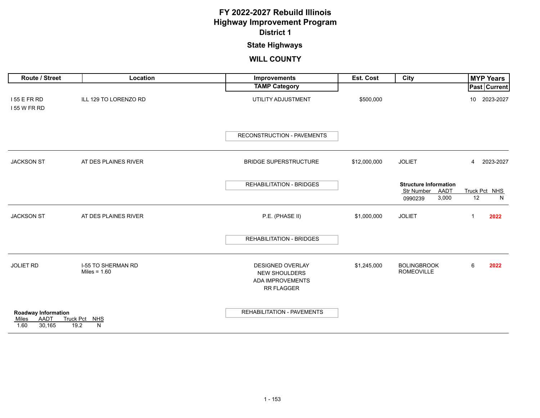# **State Highways**

| Route / Street                                                | Location                                    | Improvements                                                                             | Est. Cost    | City                                                                   | <b>MYP Years</b>         |
|---------------------------------------------------------------|---------------------------------------------|------------------------------------------------------------------------------------------|--------------|------------------------------------------------------------------------|--------------------------|
|                                                               |                                             | <b>TAMP Category</b>                                                                     |              |                                                                        | Past Current             |
| 155 E FR RD<br>155 W FR RD                                    | ILL 129 TO LORENZO RD                       | UTILITY ADJUSTMENT                                                                       | \$500,000    |                                                                        | 10 2023-2027             |
|                                                               |                                             | RECONSTRUCTION - PAVEMENTS                                                               |              |                                                                        |                          |
| <b>JACKSON ST</b>                                             | AT DES PLAINES RIVER                        | <b>BRIDGE SUPERSTRUCTURE</b>                                                             | \$12,000,000 | <b>JOLIET</b>                                                          | 2023-2027<br>4           |
|                                                               |                                             | <b>REHABILITATION - BRIDGES</b>                                                          |              | <b>Structure Information</b><br>Str Number<br>AADT<br>3,000<br>0990239 | Truck Pct NHS<br>12<br>N |
| <b>JACKSON ST</b>                                             | AT DES PLAINES RIVER                        | P.E. (PHASE II)                                                                          | \$1,000,000  | <b>JOLIET</b>                                                          | 2022<br>$\mathbf{1}$     |
|                                                               |                                             | <b>REHABILITATION - BRIDGES</b>                                                          |              |                                                                        |                          |
| <b>JOLIET RD</b>                                              | <b>I-55 TO SHERMAN RD</b><br>Miles = $1.60$ | <b>DESIGNED OVERLAY</b><br><b>NEW SHOULDERS</b><br><b>ADA IMPROVEMENTS</b><br>RR FLAGGER | \$1,245,000  | <b>BOLINGBROOK</b><br><b>ROMEOVILLE</b>                                | 6<br>2022                |
| <b>Roadway Information</b><br>AADT<br>Miles<br>1.60<br>30,165 | Truck Pct NHS<br>19.2<br>N                  | REHABILITATION - PAVEMENTS                                                               |              |                                                                        |                          |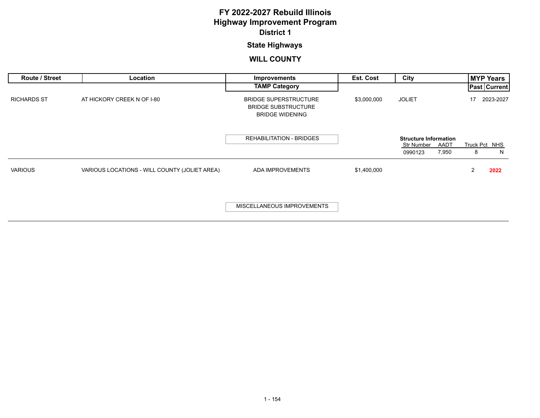### **State Highways**

| Route / Street     | Location                                      | Improvements                                                                         | Est. Cost   | City                                                                   | <b>MYP Years</b>        |
|--------------------|-----------------------------------------------|--------------------------------------------------------------------------------------|-------------|------------------------------------------------------------------------|-------------------------|
|                    |                                               | <b>TAMP Category</b>                                                                 |             |                                                                        | <b>Past Current</b>     |
| <b>RICHARDS ST</b> | AT HICKORY CREEK N OF I-80                    | <b>BRIDGE SUPERSTRUCTURE</b><br><b>BRIDGE SUBSTRUCTURE</b><br><b>BRIDGE WIDENING</b> | \$3,000,000 | <b>JOLIET</b>                                                          | 2023-2027<br>17         |
|                    |                                               | <b>REHABILITATION - BRIDGES</b>                                                      |             | <b>Structure Information</b><br>Str Number<br>AADT<br>7,950<br>0990123 | Truck Pct NHS<br>N<br>8 |
| <b>VARIOUS</b>     | VARIOUS LOCATIONS - WILL COUNTY (JOLIET AREA) | ADA IMPROVEMENTS                                                                     | \$1,400,000 |                                                                        | 2022<br>2               |
|                    |                                               | MISCELLANEOUS IMPROVEMENTS                                                           |             |                                                                        |                         |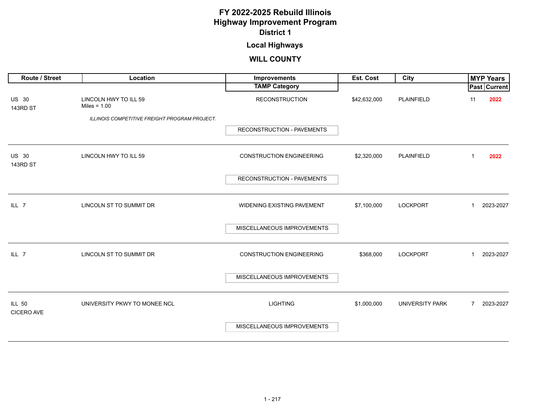## **Local Highways**

<span id="page-30-0"></span>

| Route / Street                     | Location                                      | Improvements                      | Est. Cost    | City            |                | <b>MYP Years</b> |
|------------------------------------|-----------------------------------------------|-----------------------------------|--------------|-----------------|----------------|------------------|
|                                    |                                               | <b>TAMP Category</b>              |              |                 |                | Past Current     |
| <b>US 30</b><br>143RD ST           | LINCOLN HWY TO ILL 59<br>Miles = $1.00$       | <b>RECONSTRUCTION</b>             | \$42,632,000 | PLAINFIELD      | 11             | 2022             |
|                                    | ILLINOIS COMPETITIVE FREIGHT PROGRAM PROJECT. |                                   |              |                 |                |                  |
|                                    |                                               | <b>RECONSTRUCTION - PAVEMENTS</b> |              |                 |                |                  |
| <b>US 30</b><br>143RD ST           | LINCOLN HWY TO ILL 59                         | <b>CONSTRUCTION ENGINEERING</b>   | \$2,320,000  | PLAINFIELD      | 1              | 2022             |
|                                    |                                               | RECONSTRUCTION - PAVEMENTS        |              |                 |                |                  |
| ILL <sub>7</sub>                   | LINCOLN ST TO SUMMIT DR                       | <b>WIDENING EXISTING PAVEMENT</b> | \$7,100,000  | <b>LOCKPORT</b> | 1              | 2023-2027        |
|                                    |                                               | MISCELLANEOUS IMPROVEMENTS        |              |                 |                |                  |
| ILL 7                              | LINCOLN ST TO SUMMIT DR                       | <b>CONSTRUCTION ENGINEERING</b>   | \$368,000    | <b>LOCKPORT</b> | 1              | 2023-2027        |
|                                    |                                               | MISCELLANEOUS IMPROVEMENTS        |              |                 |                |                  |
| <b>ILL 50</b><br><b>CICERO AVE</b> | UNIVERSITY PKWY TO MONEE NCL                  | <b>LIGHTING</b>                   | \$1,000,000  | UNIVERSITY PARK | $\overline{7}$ | 2023-2027        |
|                                    |                                               | MISCELLANEOUS IMPROVEMENTS        |              |                 |                |                  |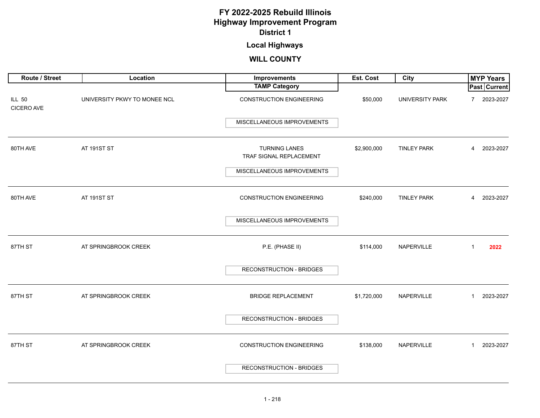### **Local Highways**

| Route / Street              | Location                     | Improvements                                    | Est. Cost   | <b>City</b>            | <b>MYP Years</b>          |
|-----------------------------|------------------------------|-------------------------------------------------|-------------|------------------------|---------------------------|
|                             |                              | <b>TAMP Category</b>                            |             |                        | <b>Past Current</b>       |
| <b>ILL 50</b><br>CICERO AVE | UNIVERSITY PKWY TO MONEE NCL | <b>CONSTRUCTION ENGINEERING</b>                 | \$50,000    | <b>UNIVERSITY PARK</b> | 2023-2027<br>7            |
|                             |                              | MISCELLANEOUS IMPROVEMENTS                      |             |                        |                           |
| 80TH AVE                    | AT 191ST ST                  | <b>TURNING LANES</b><br>TRAF SIGNAL REPLACEMENT | \$2,900,000 | <b>TINLEY PARK</b>     | 2023-2027<br>4            |
|                             |                              | MISCELLANEOUS IMPROVEMENTS                      |             |                        |                           |
| 80TH AVE                    | AT 191ST ST                  | <b>CONSTRUCTION ENGINEERING</b>                 | \$240,000   | <b>TINLEY PARK</b>     | 2023-2027<br>4            |
|                             |                              | MISCELLANEOUS IMPROVEMENTS                      |             |                        |                           |
| 87TH ST                     | AT SPRINGBROOK CREEK         | P.E. (PHASE II)                                 | \$114,000   | NAPERVILLE             | 2022<br>$\mathbf{1}$      |
|                             |                              | <b>RECONSTRUCTION - BRIDGES</b>                 |             |                        |                           |
| 87TH ST                     | AT SPRINGBROOK CREEK         | <b>BRIDGE REPLACEMENT</b>                       | \$1,720,000 | NAPERVILLE             | 2023-2027<br>$\mathbf{1}$ |
|                             |                              | <b>RECONSTRUCTION - BRIDGES</b>                 |             |                        |                           |
| 87TH ST                     | AT SPRINGBROOK CREEK         | <b>CONSTRUCTION ENGINEERING</b>                 | \$138,000   | NAPERVILLE             | 2023-2027<br>$\mathbf{1}$ |
|                             |                              | RECONSTRUCTION - BRIDGES                        |             |                        |                           |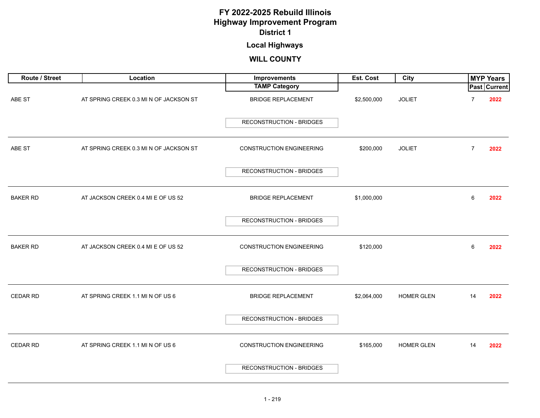### **Local Highways**

| Route / Street  | Location                               | Improvements                    | Est. Cost   | <b>City</b>       |    | <b>MYP Years</b>    |
|-----------------|----------------------------------------|---------------------------------|-------------|-------------------|----|---------------------|
|                 |                                        | <b>TAMP Category</b>            |             |                   |    | <b>Past Current</b> |
| ABE ST          | AT SPRING CREEK 0.3 MI N OF JACKSON ST | <b>BRIDGE REPLACEMENT</b>       | \$2,500,000 | <b>JOLIET</b>     | 7  | 2022                |
|                 |                                        | <b>RECONSTRUCTION - BRIDGES</b> |             |                   |    |                     |
| ABE ST          | AT SPRING CREEK 0.3 MI N OF JACKSON ST | <b>CONSTRUCTION ENGINEERING</b> | \$200,000   | <b>JOLIET</b>     | 7  | 2022                |
|                 |                                        | RECONSTRUCTION - BRIDGES        |             |                   |    |                     |
| <b>BAKER RD</b> | AT JACKSON CREEK 0.4 MI E OF US 52     | <b>BRIDGE REPLACEMENT</b>       | \$1,000,000 |                   | 6  | 2022                |
|                 |                                        | RECONSTRUCTION - BRIDGES        |             |                   |    |                     |
| <b>BAKER RD</b> | AT JACKSON CREEK 0.4 MI E OF US 52     | <b>CONSTRUCTION ENGINEERING</b> | \$120,000   |                   | 6  | 2022                |
|                 |                                        | <b>RECONSTRUCTION - BRIDGES</b> |             |                   |    |                     |
| <b>CEDAR RD</b> | AT SPRING CREEK 1.1 MI N OF US 6       | <b>BRIDGE REPLACEMENT</b>       | \$2,064,000 | HOMER GLEN        | 14 | 2022                |
|                 |                                        | <b>RECONSTRUCTION - BRIDGES</b> |             |                   |    |                     |
| <b>CEDAR RD</b> | AT SPRING CREEK 1.1 MI N OF US 6       | <b>CONSTRUCTION ENGINEERING</b> | \$165,000   | <b>HOMER GLEN</b> | 14 | 2022                |
|                 |                                        | <b>RECONSTRUCTION - BRIDGES</b> |             |                   |    |                     |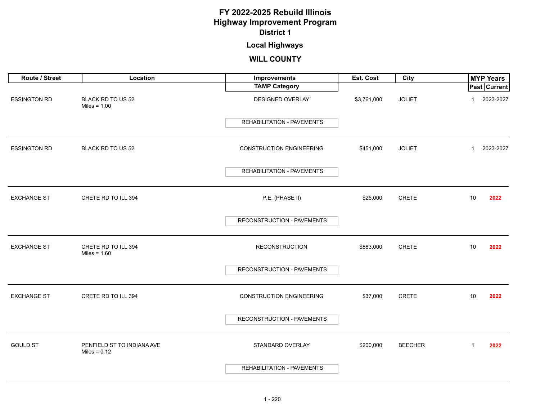### **Local Highways**

| Route / Street      | Location                                     | Improvements                    | Est. Cost   | City           | <b>MYP Years</b>     |
|---------------------|----------------------------------------------|---------------------------------|-------------|----------------|----------------------|
|                     |                                              | <b>TAMP Category</b>            |             |                | <b>Past Current</b>  |
| <b>ESSINGTON RD</b> | BLACK RD TO US 52<br>Miles = $1.00$          | DESIGNED OVERLAY                | \$3,761,000 | <b>JOLIET</b>  | 2023-2027            |
|                     |                                              | REHABILITATION - PAVEMENTS      |             |                |                      |
| <b>ESSINGTON RD</b> | BLACK RD TO US 52                            | <b>CONSTRUCTION ENGINEERING</b> | \$451,000   | <b>JOLIET</b>  | 2023-2027<br>1       |
|                     |                                              | REHABILITATION - PAVEMENTS      |             |                |                      |
| <b>EXCHANGE ST</b>  | CRETE RD TO ILL 394                          | P.E. (PHASE II)                 | \$25,000    | <b>CRETE</b>   | 10<br>2022           |
|                     |                                              | RECONSTRUCTION - PAVEMENTS      |             |                |                      |
| <b>EXCHANGE ST</b>  | CRETE RD TO ILL 394<br>Miles = $1.60$        | <b>RECONSTRUCTION</b>           | \$883,000   | <b>CRETE</b>   | 10<br>2022           |
|                     |                                              | RECONSTRUCTION - PAVEMENTS      |             |                |                      |
| <b>EXCHANGE ST</b>  | CRETE RD TO ILL 394                          | <b>CONSTRUCTION ENGINEERING</b> | \$37,000    | CRETE          | 10<br>2022           |
|                     |                                              | RECONSTRUCTION - PAVEMENTS      |             |                |                      |
| <b>GOULD ST</b>     | PENFIELD ST TO INDIANA AVE<br>Miles = $0.12$ | STANDARD OVERLAY                | \$200,000   | <b>BEECHER</b> | $\mathbf{1}$<br>2022 |
|                     |                                              | REHABILITATION - PAVEMENTS      |             |                |                      |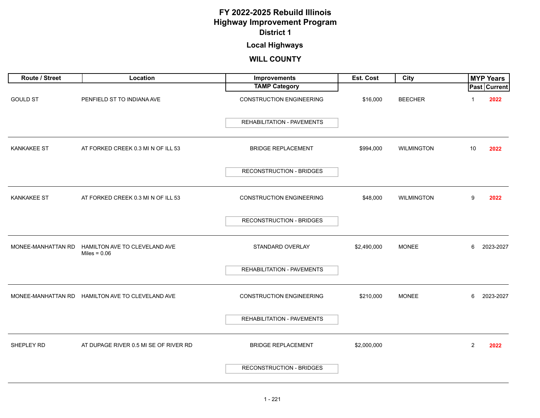### **Local Highways**

| Route / Street     | Location                                         | Improvements                      | Est. Cost   | City              |                | <b>MYP Years</b> |
|--------------------|--------------------------------------------------|-----------------------------------|-------------|-------------------|----------------|------------------|
|                    |                                                  | <b>TAMP Category</b>              |             |                   |                | Past Current     |
| <b>GOULD ST</b>    | PENFIELD ST TO INDIANA AVE                       | <b>CONSTRUCTION ENGINEERING</b>   | \$16,000    | <b>BEECHER</b>    |                | 2022             |
|                    |                                                  | <b>REHABILITATION - PAVEMENTS</b> |             |                   |                |                  |
| <b>KANKAKEE ST</b> | AT FORKED CREEK 0.3 MI N OF ILL 53               | <b>BRIDGE REPLACEMENT</b>         | \$994,000   | <b>WILMINGTON</b> | 10             | 2022             |
|                    |                                                  | <b>RECONSTRUCTION - BRIDGES</b>   |             |                   |                |                  |
| <b>KANKAKEE ST</b> | AT FORKED CREEK 0.3 MI N OF ILL 53               | <b>CONSTRUCTION ENGINEERING</b>   | \$48,000    | <b>WILMINGTON</b> | 9              | 2022             |
|                    |                                                  | RECONSTRUCTION - BRIDGES          |             |                   |                |                  |
| MONEE-MANHATTAN RD | HAMILTON AVE TO CLEVELAND AVE<br>Miles = $0.06$  | STANDARD OVERLAY                  | \$2,490,000 | <b>MONEE</b>      | 6              | 2023-2027        |
|                    |                                                  | REHABILITATION - PAVEMENTS        |             |                   |                |                  |
|                    | MONEE-MANHATTAN RD HAMILTON AVE TO CLEVELAND AVE | <b>CONSTRUCTION ENGINEERING</b>   | \$210,000   | <b>MONEE</b>      | 6              | 2023-2027        |
|                    |                                                  | <b>REHABILITATION - PAVEMENTS</b> |             |                   |                |                  |
| SHEPLEY RD         | AT DUPAGE RIVER 0.5 MI SE OF RIVER RD            | <b>BRIDGE REPLACEMENT</b>         | \$2,000,000 |                   | $\overline{2}$ | 2022             |
|                    |                                                  | <b>RECONSTRUCTION - BRIDGES</b>   |             |                   |                |                  |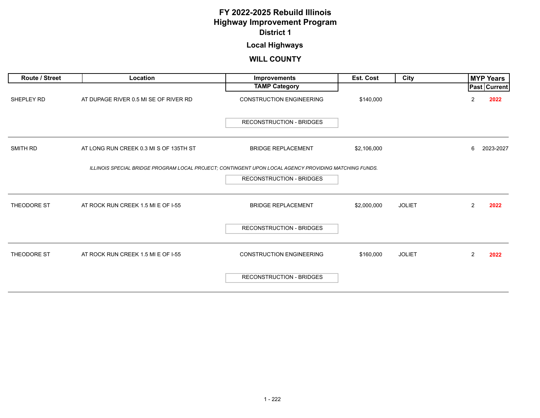### **Local Highways**

| <b>Route / Street</b> | Location                                                                                              | Improvements                    | <b>Est. Cost</b> | City          |                | <b>MYP Years</b>    |
|-----------------------|-------------------------------------------------------------------------------------------------------|---------------------------------|------------------|---------------|----------------|---------------------|
|                       |                                                                                                       | <b>TAMP Category</b>            |                  |               |                | <b>Past Current</b> |
| SHEPLEY RD            | AT DUPAGE RIVER 0.5 MI SE OF RIVER RD                                                                 | <b>CONSTRUCTION ENGINEERING</b> | \$140,000        |               | 2              | 2022                |
|                       |                                                                                                       | <b>RECONSTRUCTION - BRIDGES</b> |                  |               |                |                     |
| SMITH RD              | AT LONG RUN CREEK 0.3 MI S OF 135TH ST                                                                | <b>BRIDGE REPLACEMENT</b>       | \$2,106,000      |               | 6              | 2023-2027           |
|                       | ILLINOIS SPECIAL BRIDGE PROGRAM LOCAL PROJECT; CONTINGENT UPON LOCAL AGENCY PROVIDING MATCHING FUNDS. |                                 |                  |               |                |                     |
|                       |                                                                                                       | <b>RECONSTRUCTION - BRIDGES</b> |                  |               |                |                     |
| THEODORE ST           | AT ROCK RUN CREEK 1.5 MI E OF I-55                                                                    | <b>BRIDGE REPLACEMENT</b>       | \$2,000,000      | <b>JOLIET</b> | $\overline{2}$ | 2022                |
|                       |                                                                                                       | <b>RECONSTRUCTION - BRIDGES</b> |                  |               |                |                     |
| THEODORE ST           | AT ROCK RUN CREEK 1.5 MI E OF I-55                                                                    | <b>CONSTRUCTION ENGINEERING</b> | \$160,000        | <b>JOLIET</b> | $\overline{2}$ | 2022                |
|                       |                                                                                                       | <b>RECONSTRUCTION - BRIDGES</b> |                  |               |                |                     |